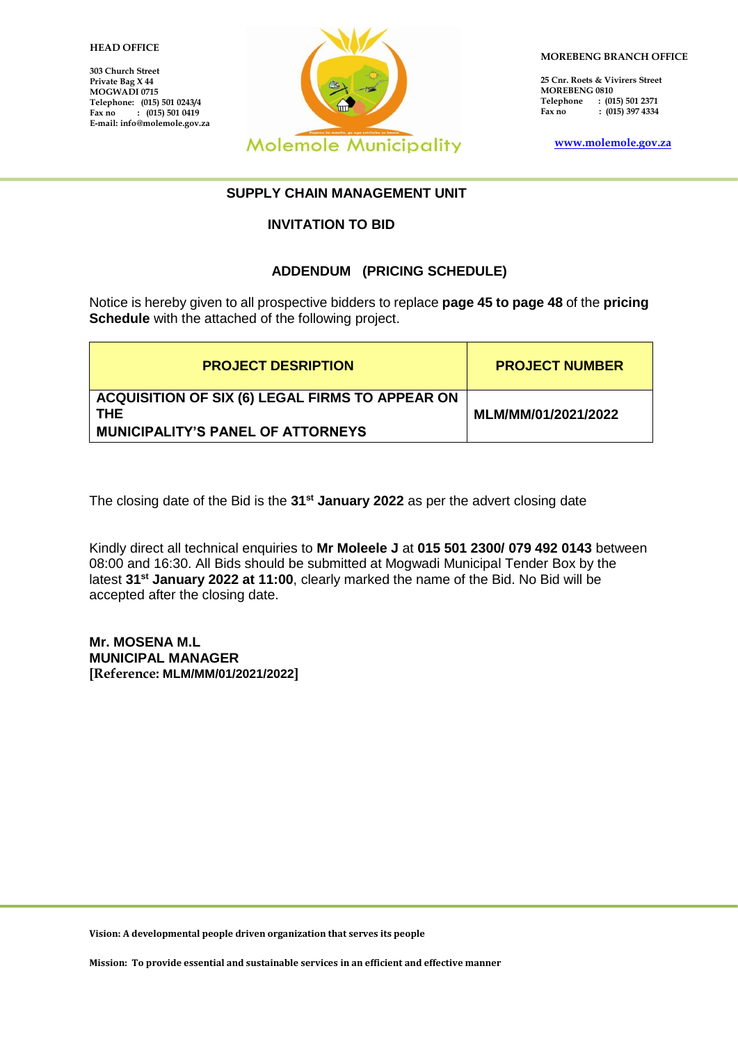#### 1 **HEAD OFFICE**

**303 Church Street Private Bag X 44 MOGWADI 0715 Telephone: (015) 501 0243/4** Fax no : (015) 501 0419 **E-mail: info@molemole.gov.za**



**MOREBENG BRANCH OFFICE**

**25 Cnr. Roets & Vivirers Street MOREBENG 0810 Telephone : (015) 501 2371**  $\hat{r}$  (015) 397 4334

**[www.molemole.gov.za](http://www.molemole.gov.za/)** 

#### **SUPPLY CHAIN MANAGEMENT UNIT**

#### **INVITATION TO BID**

#### **ADDENDUM (PRICING SCHEDULE)**

Notice is hereby given to all prospective bidders to replace **page 45 to page 48** of the **pricing Schedule** with the attached of the following project.

| <b>PROJECT DESRIPTION</b>                                     | <b>PROJECT NUMBER</b> |
|---------------------------------------------------------------|-----------------------|
| ACQUISITION OF SIX (6) LEGAL FIRMS TO APPEAR ON<br><b>THE</b> | MLM/MM/01/2021/2022   |
| <b>MUNICIPALITY'S PANEL OF ATTORNEYS</b>                      |                       |

The closing date of the Bid is the **31st January 2022** as per the advert closing date

Kindly direct all technical enquiries to **Mr Moleele J** at **015 501 2300/ 079 492 0143** between 08:00 and 16:30. All Bids should be submitted at Mogwadi Municipal Tender Box by the latest **31st January 2022 at 11:00**, clearly marked the name of the Bid. No Bid will be accepted after the closing date.

**Mr. MOSENA M.L MUNICIPAL MANAGER [Reference: MLM/MM/01/2021/2022]**

**Vision: A developmental people driven organization that serves its people**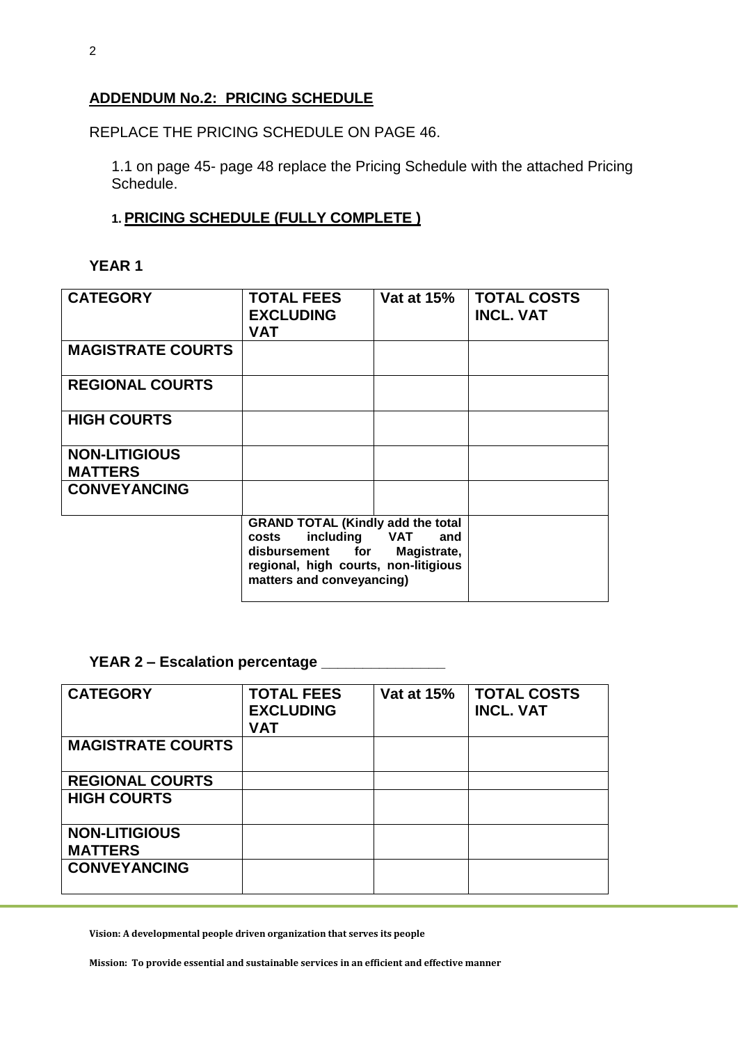### **ADDENDUM No.2: PRICING SCHEDULE**

REPLACE THE PRICING SCHEDULE ON PAGE 46.

1.1 on page 45- page 48 replace the Pricing Schedule with the attached Pricing Schedule.

## **1. PRICING SCHEDULE (FULLY COMPLETE )**

# **YEAR 1**

| <b>CATEGORY</b>                        | <b>TOTAL FEES</b><br><b>EXCLUDING</b><br><b>VAT</b>                                                                                                         | <b>Vat at 15%</b>  | <b>TOTAL COSTS</b><br><b>INCL. VAT</b> |
|----------------------------------------|-------------------------------------------------------------------------------------------------------------------------------------------------------------|--------------------|----------------------------------------|
| <b>MAGISTRATE COURTS</b>               |                                                                                                                                                             |                    |                                        |
| <b>REGIONAL COURTS</b>                 |                                                                                                                                                             |                    |                                        |
| <b>HIGH COURTS</b>                     |                                                                                                                                                             |                    |                                        |
| <b>NON-LITIGIOUS</b><br><b>MATTERS</b> |                                                                                                                                                             |                    |                                        |
| <b>CONVEYANCING</b>                    |                                                                                                                                                             |                    |                                        |
|                                        | <b>GRAND TOTAL (Kindly add the total</b><br>including VAT<br>costs<br>disbursement for<br>regional, high courts, non-litigious<br>matters and conveyancing) | and<br>Magistrate, |                                        |

## **YEAR 2 – Escalation percentage \_\_\_\_\_\_\_\_\_\_\_\_\_\_\_**

| <b>CATEGORY</b>          | <b>TOTAL FEES</b><br><b>EXCLUDING</b><br><b>VAT</b> | <b>Vat at 15%</b> | <b>TOTAL COSTS</b><br><b>INCL. VAT</b> |
|--------------------------|-----------------------------------------------------|-------------------|----------------------------------------|
| <b>MAGISTRATE COURTS</b> |                                                     |                   |                                        |
| <b>REGIONAL COURTS</b>   |                                                     |                   |                                        |
| <b>HIGH COURTS</b>       |                                                     |                   |                                        |
| <b>NON-LITIGIOUS</b>     |                                                     |                   |                                        |
| <b>MATTERS</b>           |                                                     |                   |                                        |
| <b>CONVEYANCING</b>      |                                                     |                   |                                        |

**Vision: A developmental people driven organization that serves its people**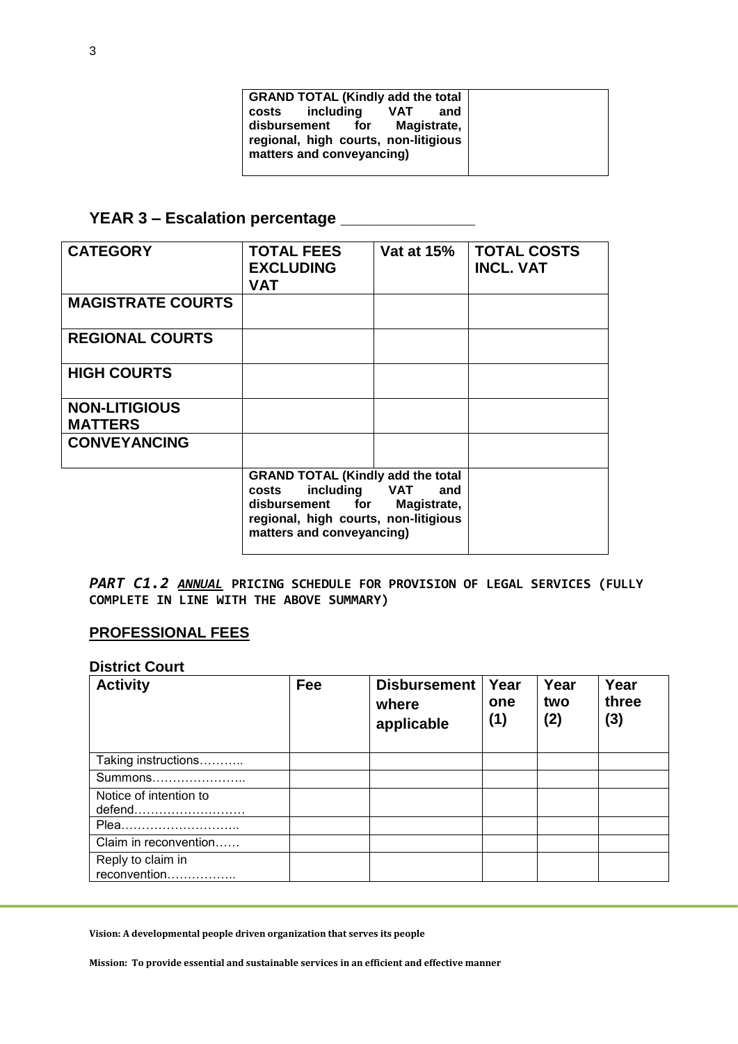| <b>GRAND TOTAL (Kindly add the total</b>                                                             |  |  |
|------------------------------------------------------------------------------------------------------|--|--|
| costs including<br><b>VAT</b><br>and                                                                 |  |  |
| Magistrate,<br>disbursement for<br>regional, high courts, non-litigious<br>matters and conveyancing) |  |  |

# **YEAR 3 – Escalation percentage \_\_\_\_\_\_\_\_\_\_\_\_\_\_\_**

| <b>CATEGORY</b>                        | <b>TOTAL FEES</b><br><b>EXCLUDING</b><br><b>VAT</b>                                                                                                         | <b>Vat at 15%</b>  | <b>TOTAL COSTS</b><br><b>INCL. VAT</b> |
|----------------------------------------|-------------------------------------------------------------------------------------------------------------------------------------------------------------|--------------------|----------------------------------------|
| <b>MAGISTRATE COURTS</b>               |                                                                                                                                                             |                    |                                        |
| <b>REGIONAL COURTS</b>                 |                                                                                                                                                             |                    |                                        |
| <b>HIGH COURTS</b>                     |                                                                                                                                                             |                    |                                        |
| <b>NON-LITIGIOUS</b><br><b>MATTERS</b> |                                                                                                                                                             |                    |                                        |
| <b>CONVEYANCING</b>                    |                                                                                                                                                             |                    |                                        |
|                                        | <b>GRAND TOTAL (Kindly add the total</b><br>including VAT<br>costs<br>disbursement for<br>regional, high courts, non-litigious<br>matters and conveyancing) | and<br>Magistrate, |                                        |

*PART C1.2 ANNUAL* **PRICING SCHEDULE FOR PROVISION OF LEGAL SERVICES (FULLY COMPLETE IN LINE WITH THE ABOVE SUMMARY)**

## **PROFESSIONAL FEES**

#### **District Court**

| <b>Activity</b>                   | Fee | <b>Disbursement</b><br>where<br>applicable | Year<br>one<br>(1) | Year<br>two<br>(2) | Year<br>three<br>(3) |
|-----------------------------------|-----|--------------------------------------------|--------------------|--------------------|----------------------|
| Taking instructions               |     |                                            |                    |                    |                      |
| Summons                           |     |                                            |                    |                    |                      |
| Notice of intention to<br>defend  |     |                                            |                    |                    |                      |
| Plea                              |     |                                            |                    |                    |                      |
| Claim in reconvention             |     |                                            |                    |                    |                      |
| Reply to claim in<br>reconvention |     |                                            |                    |                    |                      |

**Vision: A developmental people driven organization that serves its people**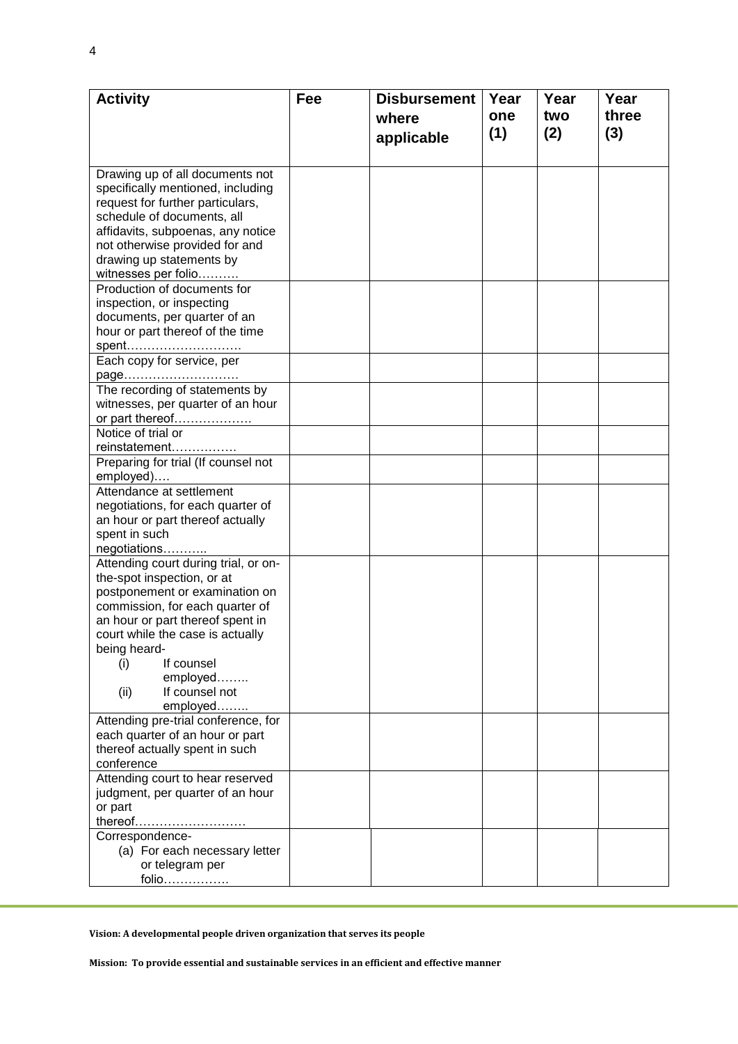| <b>Activity</b>                      | Fee | <b>Disbursement</b> | Year | Year | Year  |
|--------------------------------------|-----|---------------------|------|------|-------|
|                                      |     | where               | one  | two  | three |
|                                      |     |                     | (1)  | (2)  | (3)   |
|                                      |     | applicable          |      |      |       |
|                                      |     |                     |      |      |       |
| Drawing up of all documents not      |     |                     |      |      |       |
| specifically mentioned, including    |     |                     |      |      |       |
| request for further particulars,     |     |                     |      |      |       |
| schedule of documents, all           |     |                     |      |      |       |
| affidavits, subpoenas, any notice    |     |                     |      |      |       |
| not otherwise provided for and       |     |                     |      |      |       |
| drawing up statements by             |     |                     |      |      |       |
| witnesses per folio                  |     |                     |      |      |       |
| Production of documents for          |     |                     |      |      |       |
| inspection, or inspecting            |     |                     |      |      |       |
| documents, per quarter of an         |     |                     |      |      |       |
| hour or part thereof of the time     |     |                     |      |      |       |
| spent                                |     |                     |      |      |       |
| Each copy for service, per           |     |                     |      |      |       |
| page                                 |     |                     |      |      |       |
| The recording of statements by       |     |                     |      |      |       |
| witnesses, per quarter of an hour    |     |                     |      |      |       |
| or part thereof                      |     |                     |      |      |       |
| Notice of trial or                   |     |                     |      |      |       |
| reinstatement                        |     |                     |      |      |       |
| Preparing for trial (If counsel not  |     |                     |      |      |       |
| employed)                            |     |                     |      |      |       |
| Attendance at settlement             |     |                     |      |      |       |
| negotiations, for each quarter of    |     |                     |      |      |       |
| an hour or part thereof actually     |     |                     |      |      |       |
| spent in such                        |     |                     |      |      |       |
| negotiations                         |     |                     |      |      |       |
| Attending court during trial, or on- |     |                     |      |      |       |
| the-spot inspection, or at           |     |                     |      |      |       |
| postponement or examination on       |     |                     |      |      |       |
| commission, for each quarter of      |     |                     |      |      |       |
| an hour or part thereof spent in     |     |                     |      |      |       |
| court while the case is actually     |     |                     |      |      |       |
| being heard-                         |     |                     |      |      |       |
| If counsel<br>(i)                    |     |                     |      |      |       |
| employed                             |     |                     |      |      |       |
| If counsel not<br>(ii)               |     |                     |      |      |       |
| employed                             |     |                     |      |      |       |
| Attending pre-trial conference, for  |     |                     |      |      |       |
| each quarter of an hour or part      |     |                     |      |      |       |
| thereof actually spent in such       |     |                     |      |      |       |
| conference                           |     |                     |      |      |       |
| Attending court to hear reserved     |     |                     |      |      |       |
| judgment, per quarter of an hour     |     |                     |      |      |       |
| or part                              |     |                     |      |      |       |
| thereof                              |     |                     |      |      |       |
| Correspondence-                      |     |                     |      |      |       |
| (a) For each necessary letter        |     |                     |      |      |       |
| or telegram per                      |     |                     |      |      |       |
| folio                                |     |                     |      |      |       |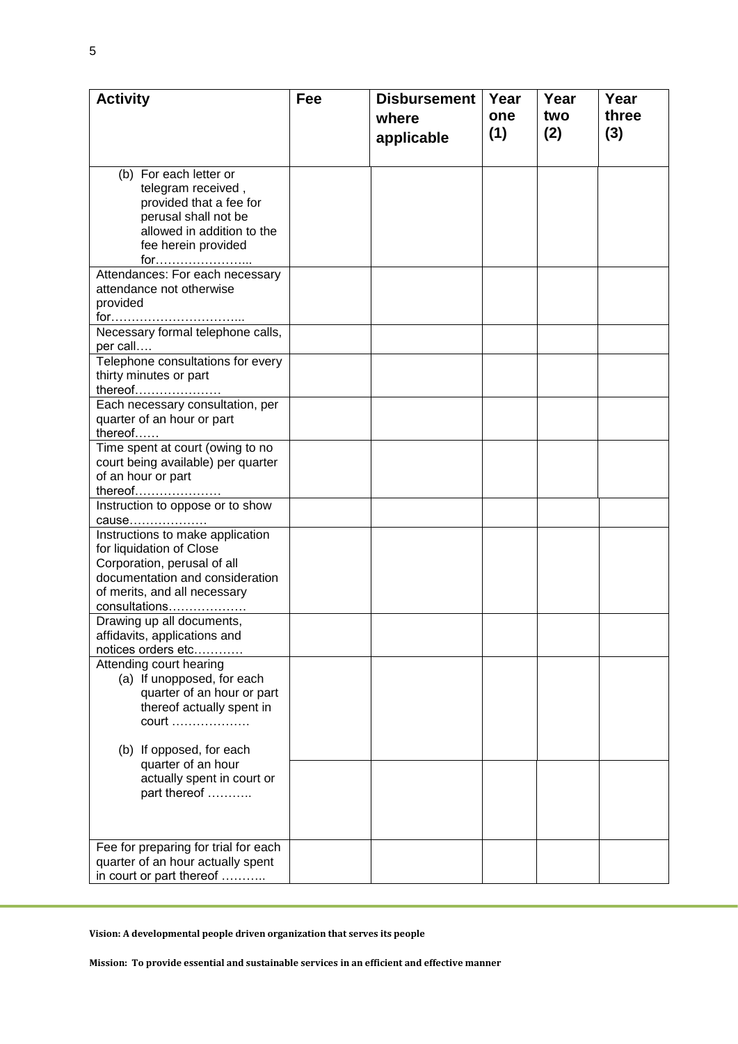| <b>Activity</b>                            | Fee | <b>Disbursement</b> | Year | Year | Year  |
|--------------------------------------------|-----|---------------------|------|------|-------|
|                                            |     | where               | one  | two  | three |
|                                            |     |                     | (1)  | (2)  | (3)   |
|                                            |     | applicable          |      |      |       |
| (b) For each letter or                     |     |                     |      |      |       |
| telegram received,                         |     |                     |      |      |       |
| provided that a fee for                    |     |                     |      |      |       |
| perusal shall not be                       |     |                     |      |      |       |
| allowed in addition to the                 |     |                     |      |      |       |
| fee herein provided                        |     |                     |      |      |       |
| for <u></u>                                |     |                     |      |      |       |
| Attendances: For each necessary            |     |                     |      |      |       |
| attendance not otherwise                   |     |                     |      |      |       |
| provided                                   |     |                     |      |      |       |
| for                                        |     |                     |      |      |       |
| Necessary formal telephone calls,          |     |                     |      |      |       |
| per call                                   |     |                     |      |      |       |
| Telephone consultations for every          |     |                     |      |      |       |
| thirty minutes or part                     |     |                     |      |      |       |
| thereof                                    |     |                     |      |      |       |
| Each necessary consultation, per           |     |                     |      |      |       |
| quarter of an hour or part                 |     |                     |      |      |       |
| thereof                                    |     |                     |      |      |       |
| Time spent at court (owing to no           |     |                     |      |      |       |
| court being available) per quarter         |     |                     |      |      |       |
| of an hour or part                         |     |                     |      |      |       |
| thereof                                    |     |                     |      |      |       |
| Instruction to oppose or to show<br>cause  |     |                     |      |      |       |
| Instructions to make application           |     |                     |      |      |       |
| for liquidation of Close                   |     |                     |      |      |       |
| Corporation, perusal of all                |     |                     |      |      |       |
| documentation and consideration            |     |                     |      |      |       |
| of merits, and all necessary               |     |                     |      |      |       |
| consultations                              |     |                     |      |      |       |
| Drawing up all documents,                  |     |                     |      |      |       |
| affidavits, applications and               |     |                     |      |      |       |
| notices orders etc                         |     |                     |      |      |       |
| Attending court hearing                    |     |                     |      |      |       |
| (a) If unopposed, for each                 |     |                     |      |      |       |
| quarter of an hour or part                 |     |                     |      |      |       |
| thereof actually spent in                  |     |                     |      |      |       |
| court                                      |     |                     |      |      |       |
|                                            |     |                     |      |      |       |
| (b) If opposed, for each                   |     |                     |      |      |       |
| quarter of an hour                         |     |                     |      |      |       |
| actually spent in court or<br>part thereof |     |                     |      |      |       |
|                                            |     |                     |      |      |       |
|                                            |     |                     |      |      |       |
|                                            |     |                     |      |      |       |
| Fee for preparing for trial for each       |     |                     |      |      |       |
| quarter of an hour actually spent          |     |                     |      |      |       |
| in court or part thereof                   |     |                     |      |      |       |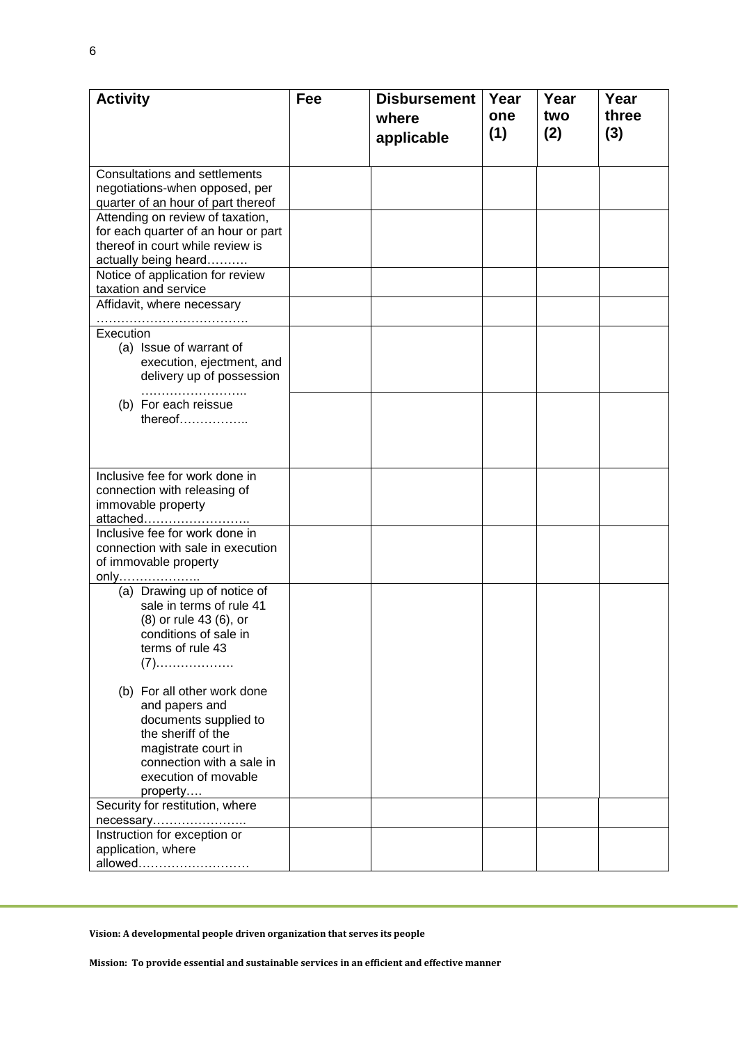| <b>Activity</b>                            | Fee | <b>Disbursement</b> | Year | Year | Year  |
|--------------------------------------------|-----|---------------------|------|------|-------|
|                                            |     | where               | one  | two  | three |
|                                            |     |                     | (1)  | (2)  | (3)   |
|                                            |     | applicable          |      |      |       |
| <b>Consultations and settlements</b>       |     |                     |      |      |       |
| negotiations-when opposed, per             |     |                     |      |      |       |
| quarter of an hour of part thereof         |     |                     |      |      |       |
| Attending on review of taxation,           |     |                     |      |      |       |
| for each quarter of an hour or part        |     |                     |      |      |       |
| thereof in court while review is           |     |                     |      |      |       |
| actually being heard                       |     |                     |      |      |       |
| Notice of application for review           |     |                     |      |      |       |
| taxation and service                       |     |                     |      |      |       |
| Affidavit, where necessary                 |     |                     |      |      |       |
| Execution                                  |     |                     |      |      |       |
| (a) Issue of warrant of                    |     |                     |      |      |       |
| execution, ejectment, and                  |     |                     |      |      |       |
| delivery up of possession                  |     |                     |      |      |       |
|                                            |     |                     |      |      |       |
| (b) For each reissue                       |     |                     |      |      |       |
| thereof                                    |     |                     |      |      |       |
|                                            |     |                     |      |      |       |
|                                            |     |                     |      |      |       |
|                                            |     |                     |      |      |       |
| Inclusive fee for work done in             |     |                     |      |      |       |
| connection with releasing of               |     |                     |      |      |       |
| immovable property                         |     |                     |      |      |       |
| attached<br>Inclusive fee for work done in |     |                     |      |      |       |
| connection with sale in execution          |     |                     |      |      |       |
| of immovable property                      |     |                     |      |      |       |
| <u>only</u>                                |     |                     |      |      |       |
| (a) Drawing up of notice of                |     |                     |      |      |       |
| sale in terms of rule 41                   |     |                     |      |      |       |
| (8) or rule 43 (6), or                     |     |                     |      |      |       |
| conditions of sale in                      |     |                     |      |      |       |
| terms of rule 43                           |     |                     |      |      |       |
| $(7)$                                      |     |                     |      |      |       |
|                                            |     |                     |      |      |       |
| (b) For all other work done                |     |                     |      |      |       |
| and papers and<br>documents supplied to    |     |                     |      |      |       |
| the sheriff of the                         |     |                     |      |      |       |
| magistrate court in                        |     |                     |      |      |       |
| connection with a sale in                  |     |                     |      |      |       |
| execution of movable                       |     |                     |      |      |       |
| property                                   |     |                     |      |      |       |
| Security for restitution, where            |     |                     |      |      |       |
| necessary                                  |     |                     |      |      |       |
| Instruction for exception or               |     |                     |      |      |       |
| application, where                         |     |                     |      |      |       |
|                                            |     |                     |      |      |       |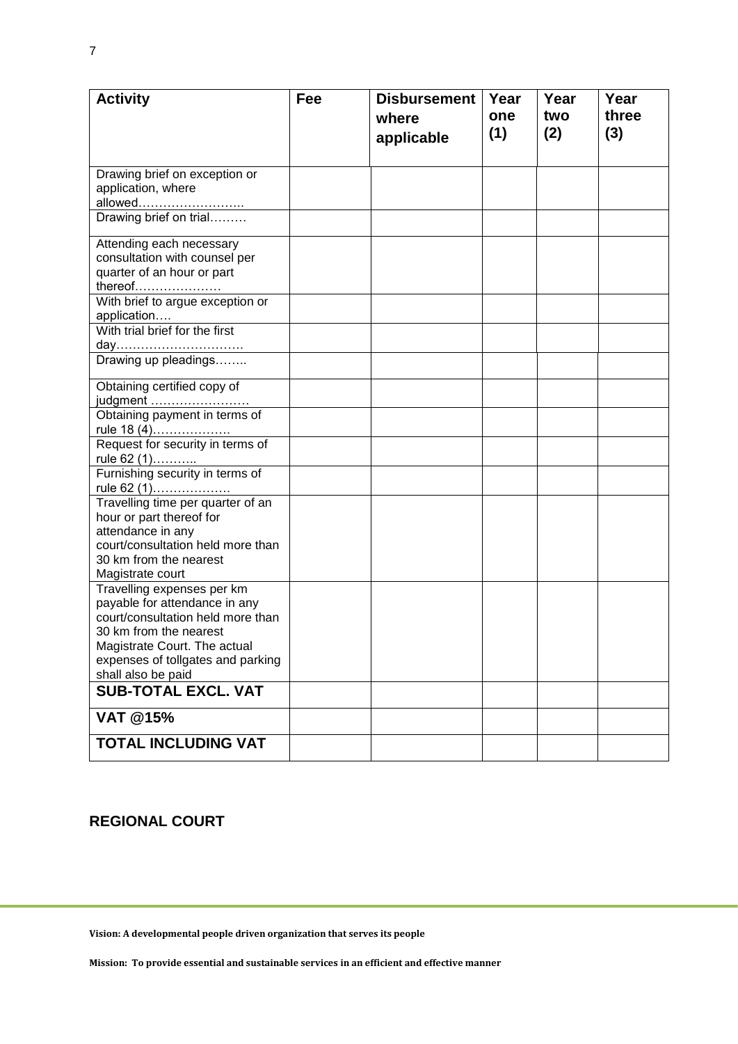| <b>Activity</b>                                               | Fee | <b>Disbursement</b> | Year | Year | Year  |
|---------------------------------------------------------------|-----|---------------------|------|------|-------|
|                                                               |     | where               | one  | two  | three |
|                                                               |     | applicable          | (1)  | (2)  | (3)   |
|                                                               |     |                     |      |      |       |
| Drawing brief on exception or                                 |     |                     |      |      |       |
| application, where                                            |     |                     |      |      |       |
| allowed <u></u><br>Drawing brief on trial                     |     |                     |      |      |       |
|                                                               |     |                     |      |      |       |
| Attending each necessary                                      |     |                     |      |      |       |
| consultation with counsel per                                 |     |                     |      |      |       |
| quarter of an hour or part<br>thereof                         |     |                     |      |      |       |
| With brief to argue exception or                              |     |                     |      |      |       |
| application                                                   |     |                     |      |      |       |
| With trial brief for the first                                |     |                     |      |      |       |
| day                                                           |     |                     |      |      |       |
| Drawing up pleadings                                          |     |                     |      |      |       |
| Obtaining certified copy of                                   |     |                     |      |      |       |
| judgment                                                      |     |                     |      |      |       |
| Obtaining payment in terms of<br>rule 18 (4)                  |     |                     |      |      |       |
| Request for security in terms of                              |     |                     |      |      |       |
| rule 62 (1)                                                   |     |                     |      |      |       |
| Furnishing security in terms of                               |     |                     |      |      |       |
| rule 62 (1)                                                   |     |                     |      |      |       |
| Travelling time per quarter of an<br>hour or part thereof for |     |                     |      |      |       |
| attendance in any                                             |     |                     |      |      |       |
| court/consultation held more than                             |     |                     |      |      |       |
| 30 km from the nearest                                        |     |                     |      |      |       |
| Magistrate court                                              |     |                     |      |      |       |
| Travelling expenses per km                                    |     |                     |      |      |       |
| payable for attendance in any                                 |     |                     |      |      |       |
| court/consultation held more than                             |     |                     |      |      |       |
| 30 km from the nearest<br>Magistrate Court. The actual        |     |                     |      |      |       |
| expenses of tollgates and parking                             |     |                     |      |      |       |
| shall also be paid                                            |     |                     |      |      |       |
| <b>SUB-TOTAL EXCL. VAT</b>                                    |     |                     |      |      |       |
| <b>VAT @15%</b>                                               |     |                     |      |      |       |
|                                                               |     |                     |      |      |       |
| <b>TOTAL INCLUDING VAT</b>                                    |     |                     |      |      |       |

## **REGIONAL COURT**

**Vision: A developmental people driven organization that serves its people**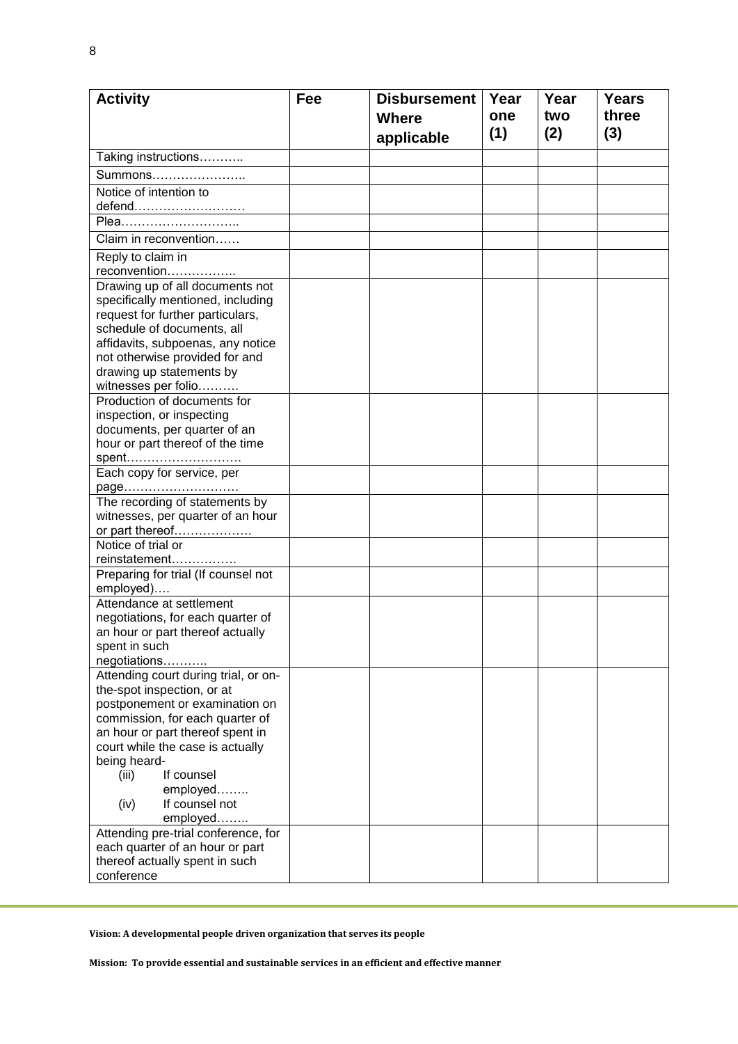8

| <b>Activity</b>                                                   | Fee | <b>Disbursement</b> | Year | Year | <b>Years</b> |
|-------------------------------------------------------------------|-----|---------------------|------|------|--------------|
|                                                                   |     | <b>Where</b>        | one  | two  | three        |
|                                                                   |     |                     | (1)  | (2)  | (3)          |
|                                                                   |     | applicable          |      |      |              |
| Taking instructions                                               |     |                     |      |      |              |
| Summons                                                           |     |                     |      |      |              |
| Notice of intention to                                            |     |                     |      |      |              |
| defend                                                            |     |                     |      |      |              |
| Plea                                                              |     |                     |      |      |              |
| Claim in reconvention                                             |     |                     |      |      |              |
| Reply to claim in                                                 |     |                     |      |      |              |
| reconvention                                                      |     |                     |      |      |              |
| Drawing up of all documents not                                   |     |                     |      |      |              |
| specifically mentioned, including                                 |     |                     |      |      |              |
| request for further particulars,                                  |     |                     |      |      |              |
| schedule of documents, all                                        |     |                     |      |      |              |
| affidavits, subpoenas, any notice                                 |     |                     |      |      |              |
| not otherwise provided for and                                    |     |                     |      |      |              |
| drawing up statements by                                          |     |                     |      |      |              |
| witnesses per folio                                               |     |                     |      |      |              |
| Production of documents for                                       |     |                     |      |      |              |
| inspection, or inspecting                                         |     |                     |      |      |              |
| documents, per quarter of an<br>hour or part thereof of the time  |     |                     |      |      |              |
|                                                                   |     |                     |      |      |              |
| spent <u></u><br>Each copy for service, per                       |     |                     |      |      |              |
| page                                                              |     |                     |      |      |              |
| The recording of statements by                                    |     |                     |      |      |              |
| witnesses, per quarter of an hour                                 |     |                     |      |      |              |
| or part thereof                                                   |     |                     |      |      |              |
| Notice of trial or                                                |     |                     |      |      |              |
| reinstatement                                                     |     |                     |      |      |              |
| Preparing for trial (If counsel not                               |     |                     |      |      |              |
| employed)                                                         |     |                     |      |      |              |
| Attendance at settlement                                          |     |                     |      |      |              |
| negotiations, for each quarter of                                 |     |                     |      |      |              |
| an hour or part thereof actually                                  |     |                     |      |      |              |
| spent in such                                                     |     |                     |      |      |              |
| negotiations                                                      |     |                     |      |      |              |
| Attending court during trial, or on-                              |     |                     |      |      |              |
| the-spot inspection, or at                                        |     |                     |      |      |              |
| postponement or examination on<br>commission, for each quarter of |     |                     |      |      |              |
| an hour or part thereof spent in                                  |     |                     |      |      |              |
| court while the case is actually                                  |     |                     |      |      |              |
| being heard-                                                      |     |                     |      |      |              |
| If counsel<br>(iii)                                               |     |                     |      |      |              |
| employed                                                          |     |                     |      |      |              |
| If counsel not<br>(iv)                                            |     |                     |      |      |              |
| employed                                                          |     |                     |      |      |              |
| Attending pre-trial conference, for                               |     |                     |      |      |              |
| each quarter of an hour or part                                   |     |                     |      |      |              |
| thereof actually spent in such                                    |     |                     |      |      |              |
| conference                                                        |     |                     |      |      |              |

**Vision: A developmental people driven organization that serves its people**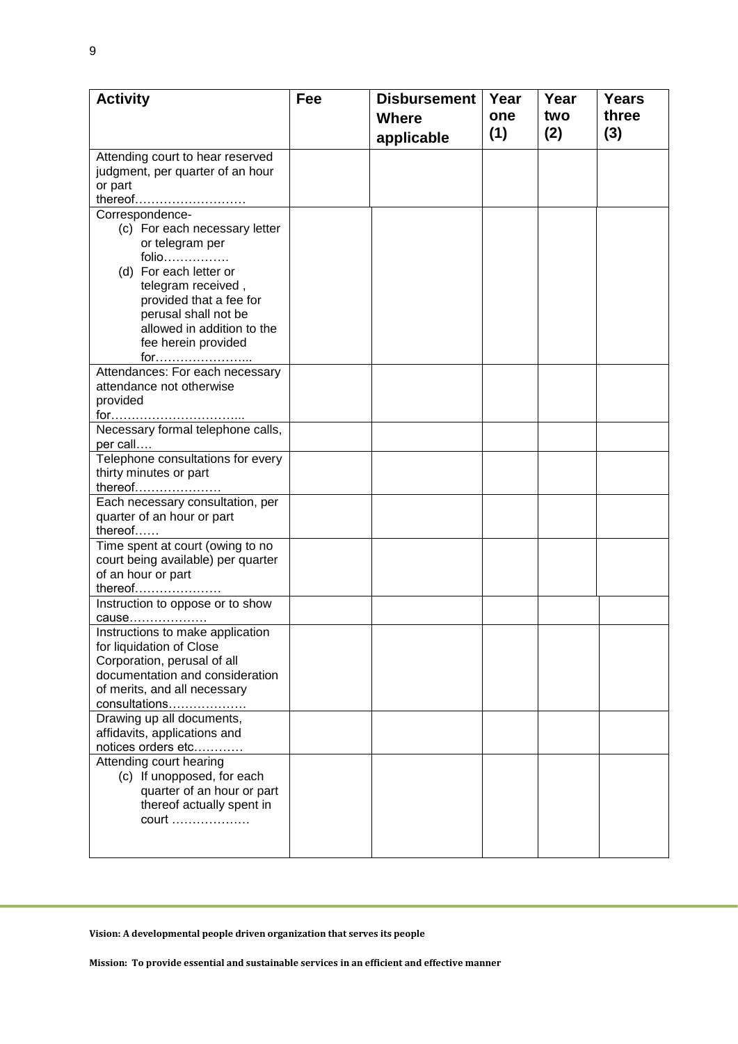| <b>Activity</b>                                                      | Fee | <b>Disbursement</b> | Year | Year | <b>Years</b> |
|----------------------------------------------------------------------|-----|---------------------|------|------|--------------|
|                                                                      |     | <b>Where</b>        | one  | two  | three        |
|                                                                      |     | applicable          | (1)  | (2)  | (3)          |
|                                                                      |     |                     |      |      |              |
| Attending court to hear reserved<br>judgment, per quarter of an hour |     |                     |      |      |              |
| or part                                                              |     |                     |      |      |              |
| thereof                                                              |     |                     |      |      |              |
| Correspondence-                                                      |     |                     |      |      |              |
| (c) For each necessary letter                                        |     |                     |      |      |              |
| or telegram per                                                      |     |                     |      |      |              |
| folio                                                                |     |                     |      |      |              |
| (d) For each letter or                                               |     |                     |      |      |              |
| telegram received,                                                   |     |                     |      |      |              |
| provided that a fee for                                              |     |                     |      |      |              |
| perusal shall not be                                                 |     |                     |      |      |              |
| allowed in addition to the                                           |     |                     |      |      |              |
| fee herein provided                                                  |     |                     |      |      |              |
| for                                                                  |     |                     |      |      |              |
| Attendances: For each necessary                                      |     |                     |      |      |              |
| attendance not otherwise                                             |     |                     |      |      |              |
| provided                                                             |     |                     |      |      |              |
|                                                                      |     |                     |      |      |              |
| Necessary formal telephone calls,                                    |     |                     |      |      |              |
| per call                                                             |     |                     |      |      |              |
| Telephone consultations for every                                    |     |                     |      |      |              |
| thirty minutes or part                                               |     |                     |      |      |              |
| thereof                                                              |     |                     |      |      |              |
| Each necessary consultation, per                                     |     |                     |      |      |              |
| quarter of an hour or part                                           |     |                     |      |      |              |
| thereof                                                              |     |                     |      |      |              |
| Time spent at court (owing to no                                     |     |                     |      |      |              |
| court being available) per quarter                                   |     |                     |      |      |              |
| of an hour or part<br>thereof                                        |     |                     |      |      |              |
|                                                                      |     |                     |      |      |              |
| Instruction to oppose or to show<br>cause                            |     |                     |      |      |              |
| Instructions to make application                                     |     |                     |      |      |              |
| for liquidation of Close                                             |     |                     |      |      |              |
| Corporation, perusal of all                                          |     |                     |      |      |              |
| documentation and consideration                                      |     |                     |      |      |              |
| of merits, and all necessary                                         |     |                     |      |      |              |
| consultations                                                        |     |                     |      |      |              |
| Drawing up all documents,                                            |     |                     |      |      |              |
| affidavits, applications and                                         |     |                     |      |      |              |
| notices orders etc                                                   |     |                     |      |      |              |
| Attending court hearing                                              |     |                     |      |      |              |
| (c) If unopposed, for each                                           |     |                     |      |      |              |
| quarter of an hour or part                                           |     |                     |      |      |              |
| thereof actually spent in                                            |     |                     |      |      |              |
| court                                                                |     |                     |      |      |              |
|                                                                      |     |                     |      |      |              |
|                                                                      |     |                     |      |      |              |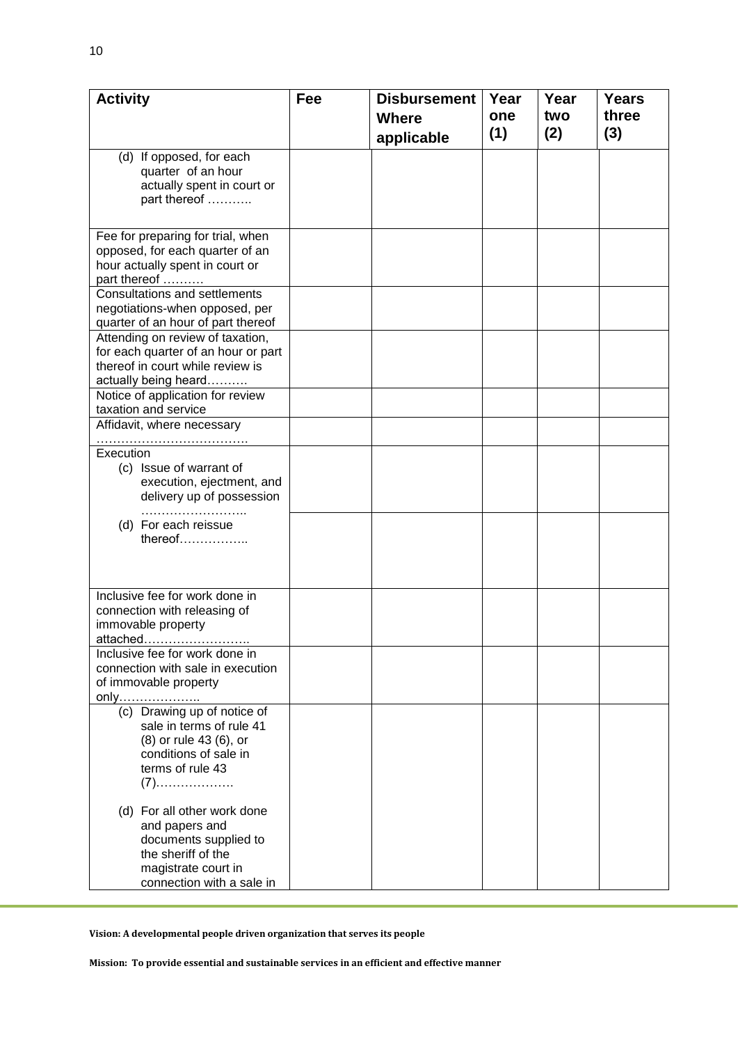| <b>Activity</b>                                          | Fee | <b>Disbursement</b><br><b>Years</b><br>Year<br>Year |     |     |       |  |  |
|----------------------------------------------------------|-----|-----------------------------------------------------|-----|-----|-------|--|--|
|                                                          |     | <b>Where</b>                                        | one | two | three |  |  |
|                                                          |     | applicable                                          | (1) | (2) | (3)   |  |  |
| (d) If opposed, for each                                 |     |                                                     |     |     |       |  |  |
| quarter of an hour                                       |     |                                                     |     |     |       |  |  |
| actually spent in court or                               |     |                                                     |     |     |       |  |  |
| part thereof                                             |     |                                                     |     |     |       |  |  |
|                                                          |     |                                                     |     |     |       |  |  |
| Fee for preparing for trial, when                        |     |                                                     |     |     |       |  |  |
| opposed, for each quarter of an                          |     |                                                     |     |     |       |  |  |
| hour actually spent in court or                          |     |                                                     |     |     |       |  |  |
| part thereof<br><b>Consultations and settlements</b>     |     |                                                     |     |     |       |  |  |
| negotiations-when opposed, per                           |     |                                                     |     |     |       |  |  |
| quarter of an hour of part thereof                       |     |                                                     |     |     |       |  |  |
| Attending on review of taxation,                         |     |                                                     |     |     |       |  |  |
| for each quarter of an hour or part                      |     |                                                     |     |     |       |  |  |
| thereof in court while review is                         |     |                                                     |     |     |       |  |  |
| actually being heard                                     |     |                                                     |     |     |       |  |  |
| Notice of application for review<br>taxation and service |     |                                                     |     |     |       |  |  |
| Affidavit, where necessary                               |     |                                                     |     |     |       |  |  |
|                                                          |     |                                                     |     |     |       |  |  |
| Execution                                                |     |                                                     |     |     |       |  |  |
| (c) Issue of warrant of                                  |     |                                                     |     |     |       |  |  |
| execution, ejectment, and                                |     |                                                     |     |     |       |  |  |
| delivery up of possession                                |     |                                                     |     |     |       |  |  |
| (d) For each reissue                                     |     |                                                     |     |     |       |  |  |
| thereof                                                  |     |                                                     |     |     |       |  |  |
|                                                          |     |                                                     |     |     |       |  |  |
|                                                          |     |                                                     |     |     |       |  |  |
| Inclusive fee for work done in                           |     |                                                     |     |     |       |  |  |
| connection with releasing of                             |     |                                                     |     |     |       |  |  |
| immovable property                                       |     |                                                     |     |     |       |  |  |
| attached                                                 |     |                                                     |     |     |       |  |  |
| Inclusive fee for work done in                           |     |                                                     |     |     |       |  |  |
| connection with sale in execution                        |     |                                                     |     |     |       |  |  |
| of immovable property                                    |     |                                                     |     |     |       |  |  |
| <u>only</u><br>(c) Drawing up of notice of               |     |                                                     |     |     |       |  |  |
| sale in terms of rule 41                                 |     |                                                     |     |     |       |  |  |
| (8) or rule 43 (6), or                                   |     |                                                     |     |     |       |  |  |
| conditions of sale in                                    |     |                                                     |     |     |       |  |  |
| terms of rule 43                                         |     |                                                     |     |     |       |  |  |
| $(7)$                                                    |     |                                                     |     |     |       |  |  |
| (d) For all other work done                              |     |                                                     |     |     |       |  |  |
| and papers and                                           |     |                                                     |     |     |       |  |  |
| documents supplied to                                    |     |                                                     |     |     |       |  |  |
| the sheriff of the                                       |     |                                                     |     |     |       |  |  |
| magistrate court in                                      |     |                                                     |     |     |       |  |  |
| connection with a sale in                                |     |                                                     |     |     |       |  |  |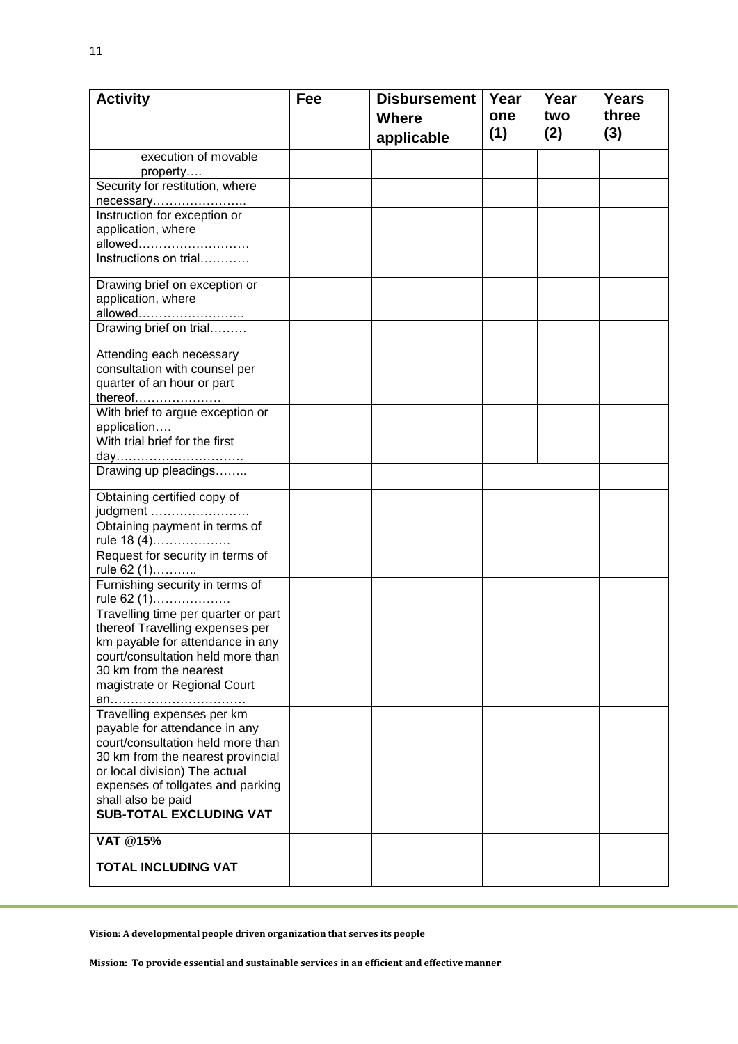| <b>Activity</b>                                             | Fee | <b>Disbursement</b> | Year | Year | <b>Years</b> |
|-------------------------------------------------------------|-----|---------------------|------|------|--------------|
|                                                             |     | <b>Where</b>        | one  | two  | three        |
|                                                             |     | applicable          | (1)  | (2)  | (3)          |
| execution of movable                                        |     |                     |      |      |              |
| property                                                    |     |                     |      |      |              |
| Security for restitution, where                             |     |                     |      |      |              |
| necessary                                                   |     |                     |      |      |              |
| Instruction for exception or                                |     |                     |      |      |              |
| application, where                                          |     |                     |      |      |              |
| allowed                                                     |     |                     |      |      |              |
| Instructions on trial                                       |     |                     |      |      |              |
| Drawing brief on exception or                               |     |                     |      |      |              |
| application, where                                          |     |                     |      |      |              |
| allowed                                                     |     |                     |      |      |              |
| Drawing brief on trial                                      |     |                     |      |      |              |
| Attending each necessary                                    |     |                     |      |      |              |
| consultation with counsel per                               |     |                     |      |      |              |
| quarter of an hour or part                                  |     |                     |      |      |              |
| thereof                                                     |     |                     |      |      |              |
| With brief to argue exception or                            |     |                     |      |      |              |
| application                                                 |     |                     |      |      |              |
| With trial brief for the first                              |     |                     |      |      |              |
| day                                                         |     |                     |      |      |              |
| Drawing up pleadings                                        |     |                     |      |      |              |
| Obtaining certified copy of                                 |     |                     |      |      |              |
| judgment                                                    |     |                     |      |      |              |
| Obtaining payment in terms of<br>rule 18 (4)                |     |                     |      |      |              |
| Request for security in terms of                            |     |                     |      |      |              |
| rule 62 (1)                                                 |     |                     |      |      |              |
| Furnishing security in terms of                             |     |                     |      |      |              |
| rule 62 (1)                                                 |     |                     |      |      |              |
| Travelling time per quarter or part                         |     |                     |      |      |              |
| thereof Travelling expenses per                             |     |                     |      |      |              |
| km payable for attendance in any                            |     |                     |      |      |              |
| court/consultation held more than<br>30 km from the nearest |     |                     |      |      |              |
| magistrate or Regional Court                                |     |                     |      |      |              |
| an                                                          |     |                     |      |      |              |
| Travelling expenses per km                                  |     |                     |      |      |              |
| payable for attendance in any                               |     |                     |      |      |              |
| court/consultation held more than                           |     |                     |      |      |              |
| 30 km from the nearest provincial                           |     |                     |      |      |              |
| or local division) The actual                               |     |                     |      |      |              |
| expenses of tollgates and parking                           |     |                     |      |      |              |
| shall also be paid<br><b>SUB-TOTAL EXCLUDING VAT</b>        |     |                     |      |      |              |
|                                                             |     |                     |      |      |              |
| <b>VAT @15%</b>                                             |     |                     |      |      |              |
| <b>TOTAL INCLUDING VAT</b>                                  |     |                     |      |      |              |
|                                                             |     |                     |      |      |              |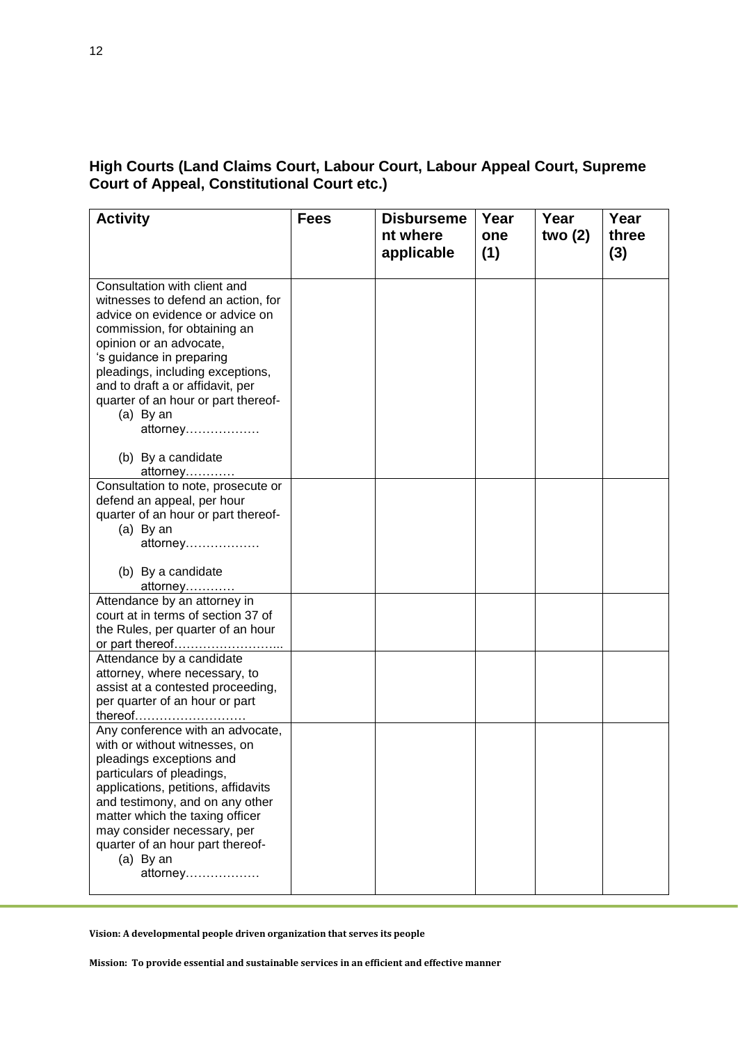# **High Courts (Land Claims Court, Labour Court, Labour Appeal Court, Supreme Court of Appeal, Constitutional Court etc.)**

| <b>Activity</b>                                                                                                                                                                                                                                                                                                                      | <b>Fees</b> | <b>Disburseme</b><br>nt where<br>applicable | Year<br>one<br>(1) | Year<br>two $(2)$ | Year<br>three<br>(3) |
|--------------------------------------------------------------------------------------------------------------------------------------------------------------------------------------------------------------------------------------------------------------------------------------------------------------------------------------|-------------|---------------------------------------------|--------------------|-------------------|----------------------|
| Consultation with client and<br>witnesses to defend an action, for<br>advice on evidence or advice on<br>commission, for obtaining an<br>opinion or an advocate,<br>'s guidance in preparing<br>pleadings, including exceptions,<br>and to draft a or affidavit, per<br>quarter of an hour or part thereof-<br>(a) By an<br>attorney |             |                                             |                    |                   |                      |
| (b) By a candidate<br>attorney                                                                                                                                                                                                                                                                                                       |             |                                             |                    |                   |                      |
| Consultation to note, prosecute or<br>defend an appeal, per hour<br>quarter of an hour or part thereof-<br>$(a)$ By an<br>attorney                                                                                                                                                                                                   |             |                                             |                    |                   |                      |
| (b) By a candidate<br>attorney                                                                                                                                                                                                                                                                                                       |             |                                             |                    |                   |                      |
| Attendance by an attorney in<br>court at in terms of section 37 of<br>the Rules, per quarter of an hour<br>or part thereof                                                                                                                                                                                                           |             |                                             |                    |                   |                      |
| Attendance by a candidate<br>attorney, where necessary, to<br>assist at a contested proceeding,<br>per quarter of an hour or part<br>thereof <u></u>                                                                                                                                                                                 |             |                                             |                    |                   |                      |
| Any conference with an advocate,<br>with or without witnesses, on<br>pleadings exceptions and<br>particulars of pleadings,<br>applications, petitions, affidavits<br>and testimony, and on any other<br>matter which the taxing officer<br>may consider necessary, per<br>quarter of an hour part thereof-<br>(a) By an<br>attorney  |             |                                             |                    |                   |                      |

**Vision: A developmental people driven organization that serves its people**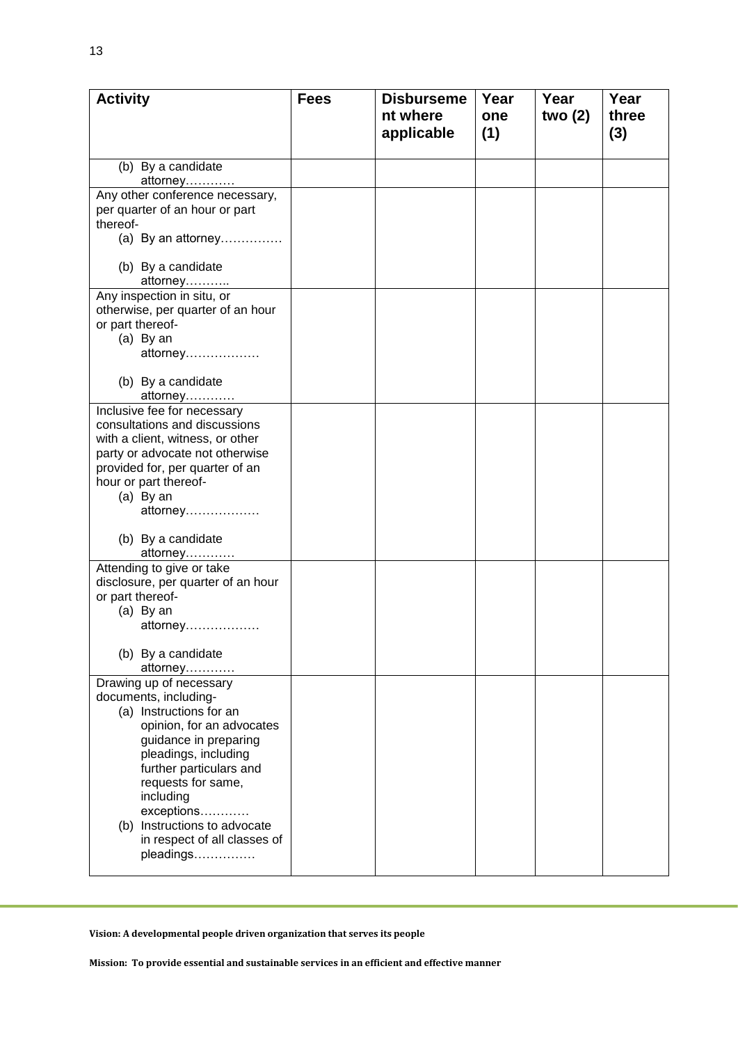| <b>Activity</b>                                       | <b>Fees</b> | <b>Disburseme</b> | Year | Year      | Year  |
|-------------------------------------------------------|-------------|-------------------|------|-----------|-------|
|                                                       |             | nt where          | one  | two $(2)$ | three |
|                                                       |             | applicable        | (1)  |           | (3)   |
|                                                       |             |                   |      |           |       |
| (b) By a candidate                                    |             |                   |      |           |       |
| attorney                                              |             |                   |      |           |       |
| Any other conference necessary,                       |             |                   |      |           |       |
| per quarter of an hour or part                        |             |                   |      |           |       |
| thereof-                                              |             |                   |      |           |       |
| (a) By an attorney                                    |             |                   |      |           |       |
|                                                       |             |                   |      |           |       |
| (b) By a candidate                                    |             |                   |      |           |       |
| <u>attorney…………</u>                                   |             |                   |      |           |       |
| Any inspection in situ, or                            |             |                   |      |           |       |
| otherwise, per quarter of an hour<br>or part thereof- |             |                   |      |           |       |
| $(a)$ By an                                           |             |                   |      |           |       |
| attorney                                              |             |                   |      |           |       |
|                                                       |             |                   |      |           |       |
| (b) By a candidate                                    |             |                   |      |           |       |
| attorney                                              |             |                   |      |           |       |
| Inclusive fee for necessary                           |             |                   |      |           |       |
| consultations and discussions                         |             |                   |      |           |       |
| with a client, witness, or other                      |             |                   |      |           |       |
| party or advocate not otherwise                       |             |                   |      |           |       |
| provided for, per quarter of an                       |             |                   |      |           |       |
| hour or part thereof-                                 |             |                   |      |           |       |
| $(a)$ By an                                           |             |                   |      |           |       |
| attorney                                              |             |                   |      |           |       |
| (b) By a candidate                                    |             |                   |      |           |       |
| attorney                                              |             |                   |      |           |       |
| Attending to give or take                             |             |                   |      |           |       |
| disclosure, per quarter of an hour                    |             |                   |      |           |       |
| or part thereof-                                      |             |                   |      |           |       |
| (a) By an                                             |             |                   |      |           |       |
| attorney                                              |             |                   |      |           |       |
|                                                       |             |                   |      |           |       |
| (b) By a candidate                                    |             |                   |      |           |       |
| attorney<br>Drawing up of necessary                   |             |                   |      |           |       |
| documents, including-                                 |             |                   |      |           |       |
| (a) Instructions for an                               |             |                   |      |           |       |
| opinion, for an advocates                             |             |                   |      |           |       |
| guidance in preparing                                 |             |                   |      |           |       |
| pleadings, including                                  |             |                   |      |           |       |
| further particulars and                               |             |                   |      |           |       |
| requests for same,                                    |             |                   |      |           |       |
| including                                             |             |                   |      |           |       |
| exceptions                                            |             |                   |      |           |       |
| (b) Instructions to advocate                          |             |                   |      |           |       |
| in respect of all classes of<br>pleadings             |             |                   |      |           |       |
|                                                       |             |                   |      |           |       |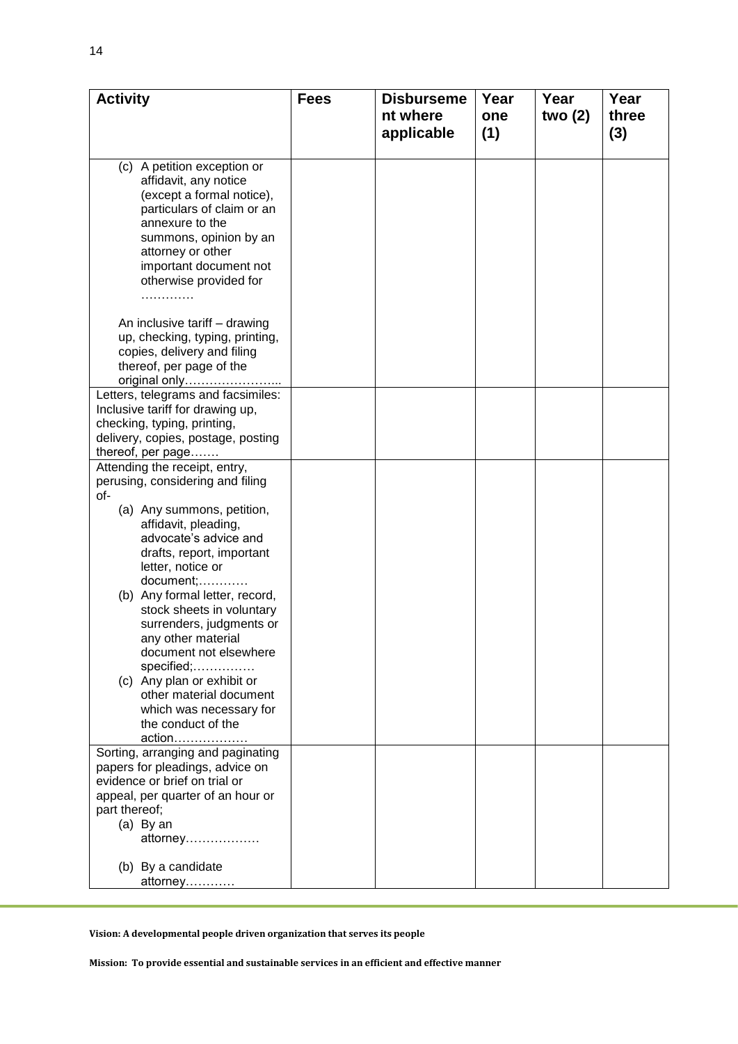| <b>Activity</b>                                    | <b>Fees</b> | <b>Disburseme</b> | Year | Year   | Year  |
|----------------------------------------------------|-------------|-------------------|------|--------|-------|
|                                                    |             | nt where          | one  | two(2) | three |
|                                                    |             | applicable        | (1)  |        | (3)   |
|                                                    |             |                   |      |        |       |
| (c) A petition exception or                        |             |                   |      |        |       |
| affidavit, any notice                              |             |                   |      |        |       |
| (except a formal notice),                          |             |                   |      |        |       |
| particulars of claim or an                         |             |                   |      |        |       |
| annexure to the                                    |             |                   |      |        |       |
| summons, opinion by an                             |             |                   |      |        |       |
| attorney or other                                  |             |                   |      |        |       |
| important document not                             |             |                   |      |        |       |
| otherwise provided for                             |             |                   |      |        |       |
| .                                                  |             |                   |      |        |       |
| An inclusive tariff - drawing                      |             |                   |      |        |       |
| up, checking, typing, printing,                    |             |                   |      |        |       |
| copies, delivery and filing                        |             |                   |      |        |       |
| thereof, per page of the                           |             |                   |      |        |       |
| original only                                      |             |                   |      |        |       |
| Letters, telegrams and facsimiles:                 |             |                   |      |        |       |
| Inclusive tariff for drawing up,                   |             |                   |      |        |       |
| checking, typing, printing,                        |             |                   |      |        |       |
| delivery, copies, postage, posting                 |             |                   |      |        |       |
| thereof, per page                                  |             |                   |      |        |       |
| Attending the receipt, entry,                      |             |                   |      |        |       |
| perusing, considering and filing<br>of-            |             |                   |      |        |       |
| (a) Any summons, petition,                         |             |                   |      |        |       |
| affidavit, pleading,                               |             |                   |      |        |       |
| advocate's advice and                              |             |                   |      |        |       |
| drafts, report, important                          |             |                   |      |        |       |
| letter, notice or                                  |             |                   |      |        |       |
| document;                                          |             |                   |      |        |       |
| (b) Any formal letter, record,                     |             |                   |      |        |       |
| stock sheets in voluntary                          |             |                   |      |        |       |
| surrenders, judgments or                           |             |                   |      |        |       |
| any other material                                 |             |                   |      |        |       |
| document not elsewhere                             |             |                   |      |        |       |
| specified;                                         |             |                   |      |        |       |
| (c) Any plan or exhibit or                         |             |                   |      |        |       |
| other material document<br>which was necessary for |             |                   |      |        |       |
| the conduct of the                                 |             |                   |      |        |       |
| action                                             |             |                   |      |        |       |
| Sorting, arranging and paginating                  |             |                   |      |        |       |
| papers for pleadings, advice on                    |             |                   |      |        |       |
| evidence or brief on trial or                      |             |                   |      |        |       |
| appeal, per quarter of an hour or                  |             |                   |      |        |       |
| part thereof;                                      |             |                   |      |        |       |
| (a) By an                                          |             |                   |      |        |       |
| attorney                                           |             |                   |      |        |       |
| (b) By a candidate                                 |             |                   |      |        |       |
| <u>attorney</u>                                    |             |                   |      |        |       |
|                                                    |             |                   |      |        |       |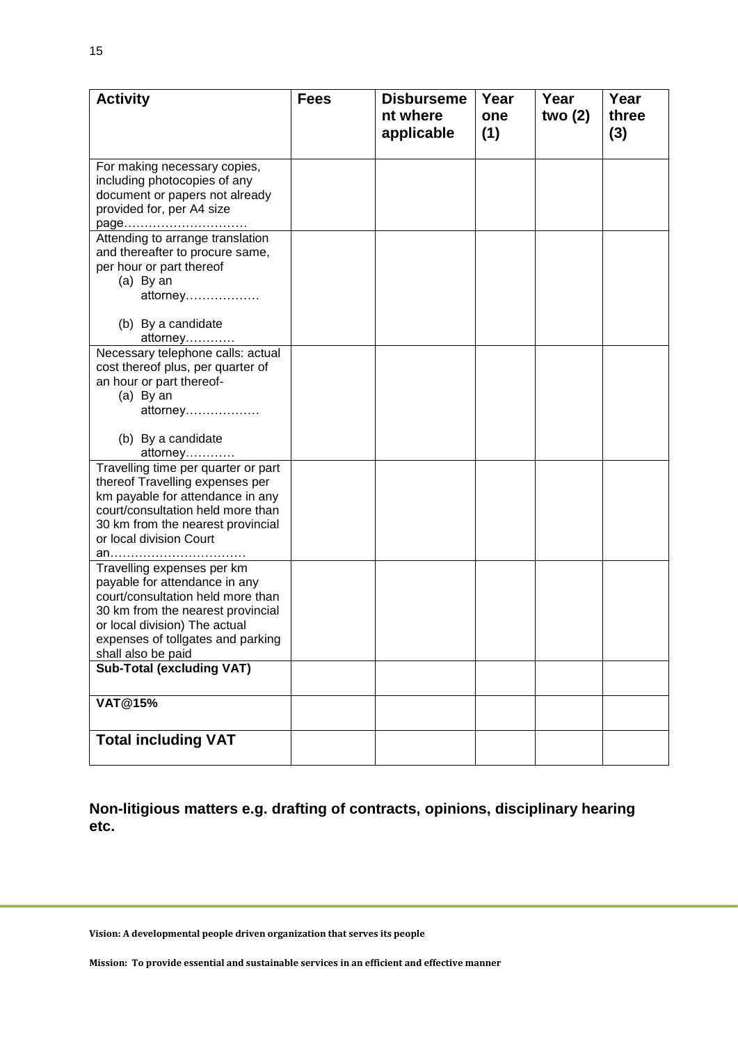| <b>Activity</b>                                                       | <b>Fees</b> | <b>Disburseme</b><br>nt where | Year<br>one | Year<br>two $(2)$ | Year<br>three |
|-----------------------------------------------------------------------|-------------|-------------------------------|-------------|-------------------|---------------|
|                                                                       |             | applicable                    | (1)         |                   | (3)           |
| For making necessary copies,                                          |             |                               |             |                   |               |
| including photocopies of any<br>document or papers not already        |             |                               |             |                   |               |
| provided for, per A4 size                                             |             |                               |             |                   |               |
| page                                                                  |             |                               |             |                   |               |
| Attending to arrange translation<br>and thereafter to procure same,   |             |                               |             |                   |               |
| per hour or part thereof                                              |             |                               |             |                   |               |
| $(a)$ By an                                                           |             |                               |             |                   |               |
| attorney                                                              |             |                               |             |                   |               |
| (b) By a candidate                                                    |             |                               |             |                   |               |
| attorney                                                              |             |                               |             |                   |               |
| Necessary telephone calls: actual                                     |             |                               |             |                   |               |
| cost thereof plus, per quarter of<br>an hour or part thereof-         |             |                               |             |                   |               |
| $(a)$ By an                                                           |             |                               |             |                   |               |
| attorney                                                              |             |                               |             |                   |               |
| (b) By a candidate                                                    |             |                               |             |                   |               |
| attorney                                                              |             |                               |             |                   |               |
| Travelling time per quarter or part                                   |             |                               |             |                   |               |
| thereof Travelling expenses per                                       |             |                               |             |                   |               |
| km payable for attendance in any<br>court/consultation held more than |             |                               |             |                   |               |
| 30 km from the nearest provincial                                     |             |                               |             |                   |               |
| or local division Court                                               |             |                               |             |                   |               |
| an                                                                    |             |                               |             |                   |               |
| Travelling expenses per km<br>payable for attendance in any           |             |                               |             |                   |               |
| court/consultation held more than                                     |             |                               |             |                   |               |
| 30 km from the nearest provincial                                     |             |                               |             |                   |               |
| or local division) The actual<br>expenses of tollgates and parking    |             |                               |             |                   |               |
| shall also be paid                                                    |             |                               |             |                   |               |
| <b>Sub-Total (excluding VAT)</b>                                      |             |                               |             |                   |               |
|                                                                       |             |                               |             |                   |               |
| <b>VAT@15%</b>                                                        |             |                               |             |                   |               |
| <b>Total including VAT</b>                                            |             |                               |             |                   |               |
|                                                                       |             |                               |             |                   |               |

**Non-litigious matters e.g. drafting of contracts, opinions, disciplinary hearing etc.**

**Vision: A developmental people driven organization that serves its people**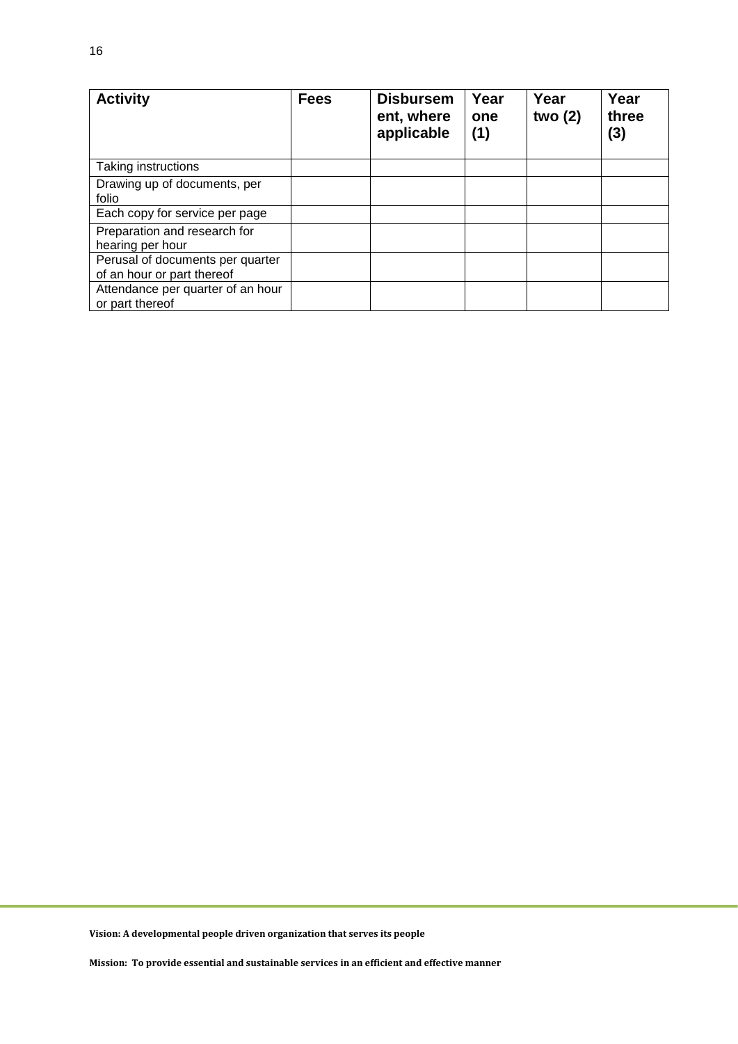| <b>Activity</b>                                                | <b>Fees</b> | <b>Disbursem</b><br>ent, where<br>applicable | Year<br>one<br>(1) | Year<br>two $(2)$ | Year<br>three<br>(3) |
|----------------------------------------------------------------|-------------|----------------------------------------------|--------------------|-------------------|----------------------|
| Taking instructions                                            |             |                                              |                    |                   |                      |
| Drawing up of documents, per<br>folio                          |             |                                              |                    |                   |                      |
| Each copy for service per page                                 |             |                                              |                    |                   |                      |
| Preparation and research for<br>hearing per hour               |             |                                              |                    |                   |                      |
| Perusal of documents per quarter<br>of an hour or part thereof |             |                                              |                    |                   |                      |
| Attendance per quarter of an hour<br>or part thereof           |             |                                              |                    |                   |                      |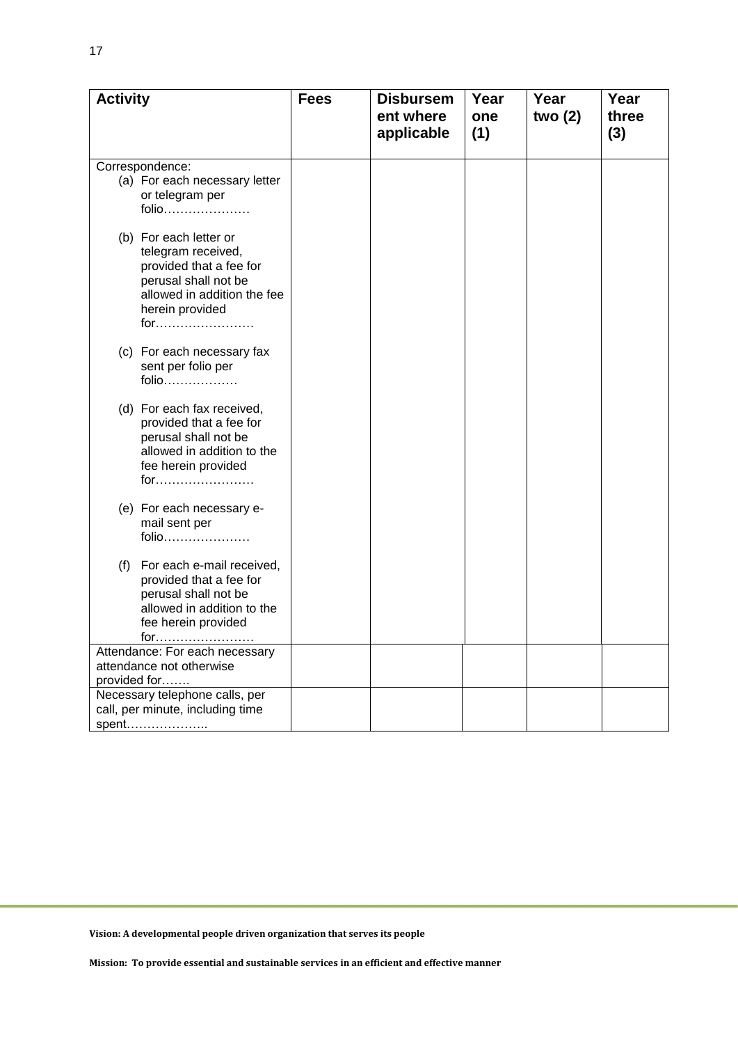| <b>Activity</b>                                                                                                                                          | <b>Fees</b> | <b>Disbursem</b><br>ent where<br>applicable | Year<br>one<br>(1) | Year<br>two $(2)$ | Year<br>three<br>(3) |
|----------------------------------------------------------------------------------------------------------------------------------------------------------|-------------|---------------------------------------------|--------------------|-------------------|----------------------|
|                                                                                                                                                          |             |                                             |                    |                   |                      |
| Correspondence:<br>(a) For each necessary letter<br>or telegram per<br>folio                                                                             |             |                                             |                    |                   |                      |
| (b) For each letter or<br>telegram received,<br>provided that a fee for<br>perusal shall not be<br>allowed in addition the fee<br>herein provided<br>for |             |                                             |                    |                   |                      |
| (c) For each necessary fax<br>sent per folio per<br>folio                                                                                                |             |                                             |                    |                   |                      |
| (d) For each fax received,<br>provided that a fee for<br>perusal shall not be<br>allowed in addition to the<br>fee herein provided<br>for                |             |                                             |                    |                   |                      |
| (e) For each necessary e-<br>mail sent per<br>folio                                                                                                      |             |                                             |                    |                   |                      |
| (f)<br>For each e-mail received,<br>provided that a fee for<br>perusal shall not be<br>allowed in addition to the<br>fee herein provided<br>for          |             |                                             |                    |                   |                      |
| Attendance: For each necessary<br>attendance not otherwise                                                                                               |             |                                             |                    |                   |                      |
| provided for                                                                                                                                             |             |                                             |                    |                   |                      |
| Necessary telephone calls, per<br>call, per minute, including time                                                                                       |             |                                             |                    |                   |                      |
| spent                                                                                                                                                    |             |                                             |                    |                   |                      |